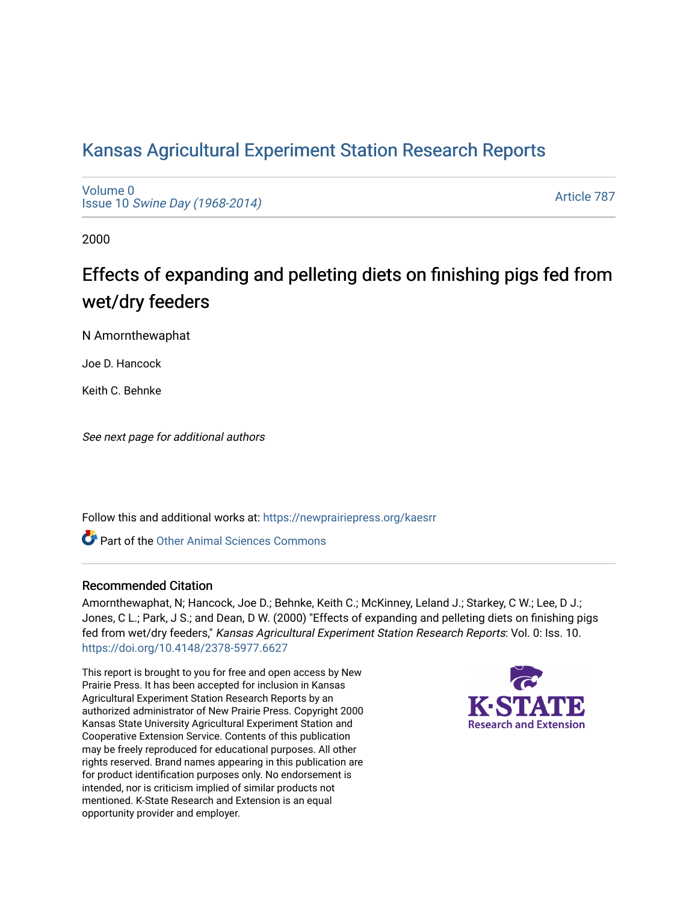## [Kansas Agricultural Experiment Station Research Reports](https://newprairiepress.org/kaesrr)

[Volume 0](https://newprairiepress.org/kaesrr/vol0) Issue 10 [Swine Day \(1968-2014\)](https://newprairiepress.org/kaesrr/vol0/iss10)

[Article 787](https://newprairiepress.org/kaesrr/vol0/iss10/787) 

2000

# Effects of expanding and pelleting diets on finishing pigs fed from wet/dry feeders

N Amornthewaphat

Joe D. Hancock

Keith C. Behnke

See next page for additional authors

Follow this and additional works at: [https://newprairiepress.org/kaesrr](https://newprairiepress.org/kaesrr?utm_source=newprairiepress.org%2Fkaesrr%2Fvol0%2Fiss10%2F787&utm_medium=PDF&utm_campaign=PDFCoverPages) 

**C** Part of the [Other Animal Sciences Commons](http://network.bepress.com/hgg/discipline/82?utm_source=newprairiepress.org%2Fkaesrr%2Fvol0%2Fiss10%2F787&utm_medium=PDF&utm_campaign=PDFCoverPages)

#### Recommended Citation

Amornthewaphat, N; Hancock, Joe D.; Behnke, Keith C.; McKinney, Leland J.; Starkey, C W.; Lee, D J.; Jones, C L.; Park, J S.; and Dean, D W. (2000) "Effects of expanding and pelleting diets on finishing pigs fed from wet/dry feeders," Kansas Agricultural Experiment Station Research Reports: Vol. 0: Iss. 10. <https://doi.org/10.4148/2378-5977.6627>

This report is brought to you for free and open access by New Prairie Press. It has been accepted for inclusion in Kansas Agricultural Experiment Station Research Reports by an authorized administrator of New Prairie Press. Copyright 2000 Kansas State University Agricultural Experiment Station and Cooperative Extension Service. Contents of this publication may be freely reproduced for educational purposes. All other rights reserved. Brand names appearing in this publication are for product identification purposes only. No endorsement is intended, nor is criticism implied of similar products not mentioned. K-State Research and Extension is an equal opportunity provider and employer.

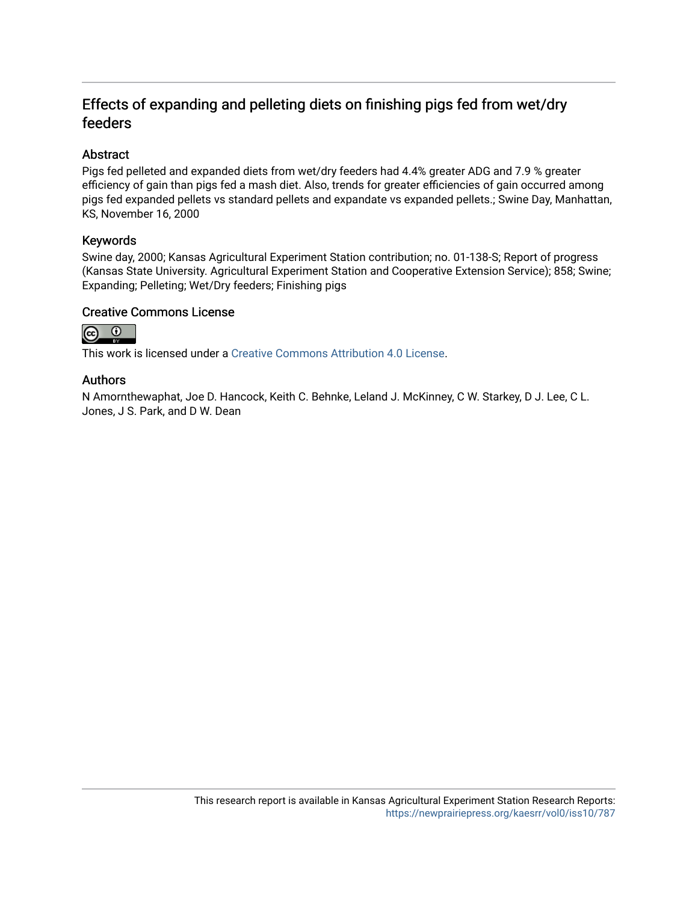### Effects of expanding and pelleting diets on finishing pigs fed from wet/dry feeders

#### Abstract

Pigs fed pelleted and expanded diets from wet/dry feeders had 4.4% greater ADG and 7.9 % greater efficiency of gain than pigs fed a mash diet. Also, trends for greater efficiencies of gain occurred among pigs fed expanded pellets vs standard pellets and expandate vs expanded pellets.; Swine Day, Manhattan, KS, November 16, 2000

#### Keywords

Swine day, 2000; Kansas Agricultural Experiment Station contribution; no. 01-138-S; Report of progress (Kansas State University. Agricultural Experiment Station and Cooperative Extension Service); 858; Swine; Expanding; Pelleting; Wet/Dry feeders; Finishing pigs

#### Creative Commons License



This work is licensed under a [Creative Commons Attribution 4.0 License](https://creativecommons.org/licenses/by/4.0/).

#### Authors

N Amornthewaphat, Joe D. Hancock, Keith C. Behnke, Leland J. McKinney, C W. Starkey, D J. Lee, C L. Jones, J S. Park, and D W. Dean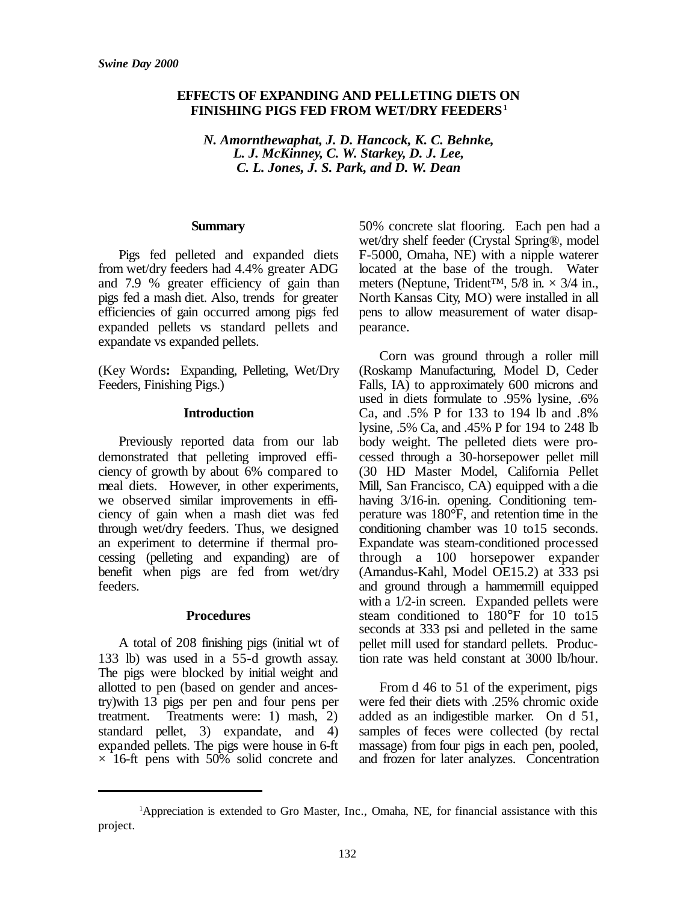#### **EFFECTS OF EXPANDING AND PELLETING DIETS ON FINISHING PIGS FED FROM WET/DRY FEEDERS<sup>1</sup>**

*N. Amornthewaphat, J. D. Hancock, K. C. Behnke, L. J. McKinney, C. W. Starkey, D. J. Lee, C. L. Jones, J. S. Park, and D. W. Dean*

#### **Summary**

Pigs fed pelleted and expanded diets from wet/dry feeders had 4.4% greater ADG and 7.9 % greater efficiency of gain than pigs fed a mash diet. Also, trends for greater efficiencies of gain occurred among pigs fed expanded pellets vs standard pellets and expandate vs expanded pellets.

(Key Words**:** Expanding, Pelleting, Wet/Dry Feeders, Finishing Pigs.)

#### **Introduction**

Previously reported data from our lab demonstrated that pelleting improved efficiency of growth by about 6% compared to meal diets. However, in other experiments, we observed similar improvements in efficiency of gain when a mash diet was fed through wet/dry feeders. Thus, we designed an experiment to determine if thermal processing (pelleting and expanding) are of benefit when pigs are fed from wet/dry feeders.

#### **Procedures**

A total of 208 finishing pigs (initial wt of 133 lb) was used in a 55-d growth assay. The pigs were blocked by initial weight and allotted to pen (based on gender and ancestry)with 13 pigs per pen and four pens per treatment. Treatments were: 1) mash, 2) standard pellet, 3) expandate, and 4) expanded pellets. The pigs were house in 6-ft  $\times$  16-ft pens with 50% solid concrete and

50% concrete slat flooring. Each pen had a wet/dry shelf feeder (Crystal Spring®, model F-5000, Omaha, NE) with a nipple waterer located at the base of the trough. Water meters (Neptune, Trident<sup>™, 5/8</sup> in.  $\times$  3/4 in., North Kansas City, MO) were installed in all pens to allow measurement of water disappearance.

Corn was ground through a roller mill (Roskamp Manufacturing, Model D, Ceder Falls, IA) to approximately 600 microns and used in diets formulate to .95% lysine, .6% Ca, and .5% P for 133 to 194 lb and .8% lysine, .5% Ca, and .45% P for 194 to 248 lb body weight. The pelleted diets were processed through a 30-horsepower pellet mill (30 HD Master Model, California Pellet Mill, San Francisco, CA) equipped with a die having 3/16-in. opening. Conditioning temperature was 180°F, and retention time in the conditioning chamber was 10 to15 seconds. Expandate was steam-conditioned processed through a 100 horsepower expander (Amandus-Kahl, Model OE15.2) at 333 psi and ground through a hammermill equipped with a 1/2-in screen. Expanded pellets were steam conditioned to 180°F for 10 to15 seconds at 333 psi and pelleted in the same pellet mill used for standard pellets. Production rate was held constant at 3000 lb/hour.

From d 46 to 51 of the experiment, pigs were fed their diets with .25% chromic oxide added as an indigestible marker. On d 51, samples of feces were collected (by rectal massage) from four pigs in each pen, pooled, and frozen for later analyzes. Concentration

<sup>1</sup>Appreciation is extended to Gro Master, Inc., Omaha, NE, for financial assistance with this project.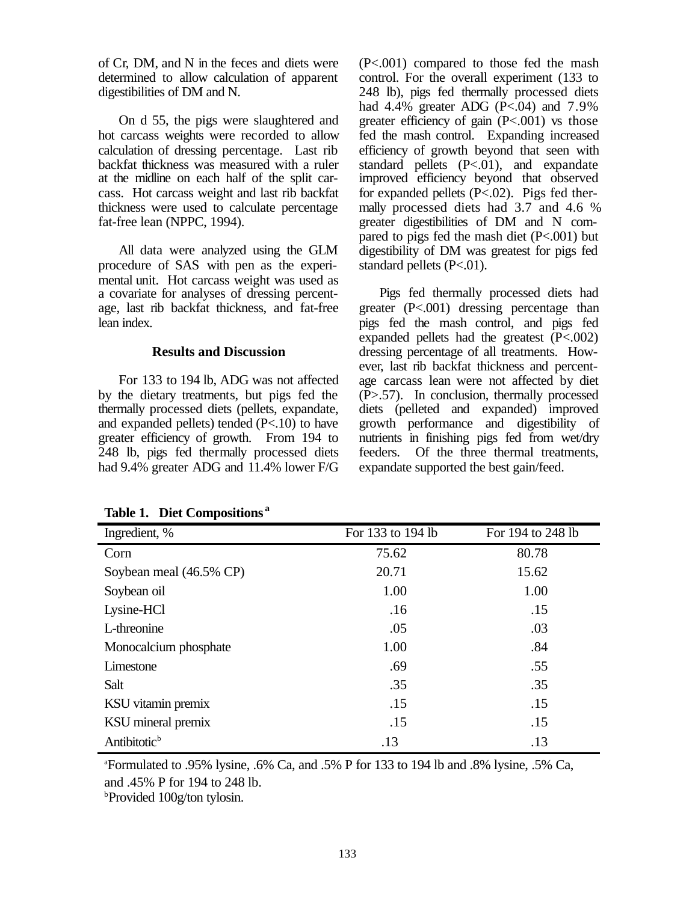of Cr, DM, and N in the feces and diets were determined to allow calculation of apparent digestibilities of DM and N.

On d 55, the pigs were slaughtered and hot carcass weights were recorded to allow calculation of dressing percentage. Last rib backfat thickness was measured with a ruler at the midline on each half of the split carcass. Hot carcass weight and last rib backfat thickness were used to calculate percentage fat-free lean (NPPC, 1994).

All data were analyzed using the GLM procedure of SAS with pen as the experimental unit. Hot carcass weight was used as a covariate for analyses of dressing percentage, last rib backfat thickness, and fat-free lean index.

#### **Results and Discussion**

For 133 to 194 lb, ADG was not affected by the dietary treatments, but pigs fed the thermally processed diets (pellets, expandate, and expanded pellets) tended (P<.10) to have greater efficiency of growth. From 194 to 248 lb, pigs fed thermally processed diets had 9.4% greater ADG and 11.4% lower F/G (P<.001) compared to those fed the mash control. For the overall experiment (133 to 248 lb), pigs fed thermally processed diets had  $4.4\%$  greater ADG (P<.04) and  $7.9\%$ greater efficiency of gain (P<.001) vs those fed the mash control. Expanding increased efficiency of growth beyond that seen with standard pellets  $(P < 0)$ , and expandate improved efficiency beyond that observed for expanded pellets (P<.02). Pigs fed thermally processed diets had 3.7 and 4.6 % greater digestibilities of DM and N compared to pigs fed the mash diet (P<.001) but digestibility of DM was greatest for pigs fed standard pellets (P<.01).

Pigs fed thermally processed diets had greater (P<.001) dressing percentage than pigs fed the mash control, and pigs fed expanded pellets had the greatest (P<.002) dressing percentage of all treatments. However, last rib backfat thickness and percentage carcass lean were not affected by diet  $(P>0.57)$ . In conclusion, thermally processed diets (pelleted and expanded) improved growth performance and digestibility of nutrients in finishing pigs fed from wet/dry feeders. Of the three thermal treatments, expandate supported the best gain/feed.

| Ingredient, %            | For 133 to 194 lb | For 194 to 248 lb |  |
|--------------------------|-------------------|-------------------|--|
| Corn                     | 75.62             | 80.78             |  |
| Soybean meal (46.5% CP)  | 20.71             | 15.62             |  |
| Soybean oil              | 1.00              | 1.00              |  |
| Lysine-HCl               | .16               | .15               |  |
| L-threonine              | .05               | .03               |  |
| Monocalcium phosphate    | 1.00              | .84               |  |
| Limestone                | .69               | .55               |  |
| Salt                     | .35               | .35               |  |
| KSU vitamin premix       | .15               | .15               |  |
| KSU mineral premix       | .15               | .15               |  |
| Antibitotic <sup>b</sup> | .13               | .13               |  |

**Table 1. Diet Compositions <sup>a</sup>**

 $\text{``Formulated to .95\%}$  lysine, .6% Ca, and .5% P for 133 to 194 lb and .8% lysine, .5% Ca, and .45% P for 194 to 248 lb.

**Provided 100g/ton tylosin.**